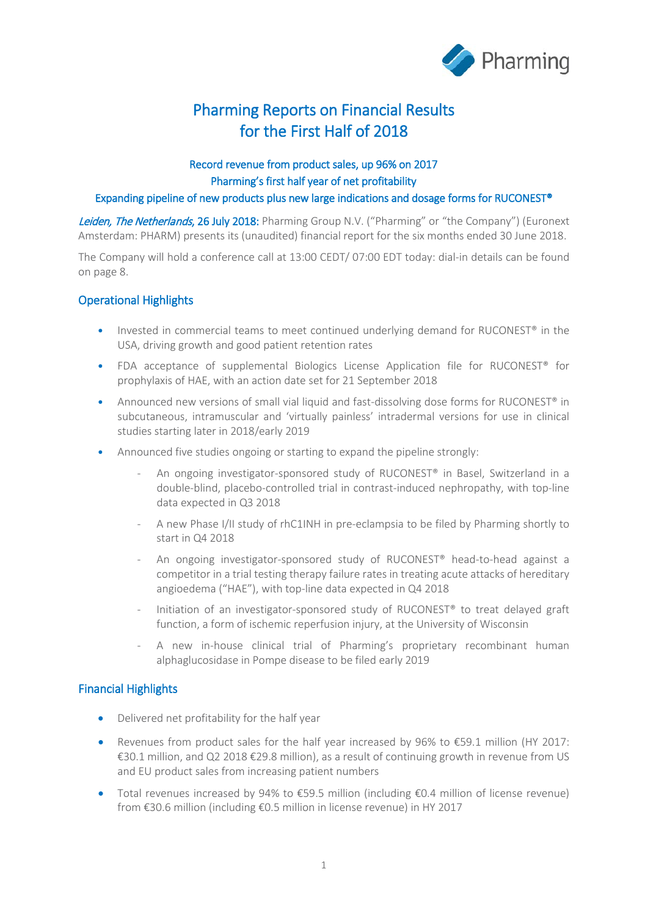

# Pharming Reports on Financial Results for the First Half of 2018

## Record revenue from product sales, up 96% on 2017 Pharming's first half year of net profitability

### Expanding pipeline of new products plus new large indications and dosage forms for RUCONEST®

Leiden, The Netherlands, 26 July 2018: Pharming Group N.V. ("Pharming" or "the Company") (Euronext Amsterdam: PHARM) presents its (unaudited) financial report for the six months ended 30 June 2018.

The Company will hold a conference call at 13:00 CEDT/ 07:00 EDT today: dial-in details can be found on page 8.

## Operational Highlights

- Invested in commercial teams to meet continued underlying demand for RUCONEST<sup>®</sup> in the USA, driving growth and good patient retention rates
- FDA acceptance of supplemental Biologics License Application file for RUCONEST® for prophylaxis of HAE, with an action date set for 21 September 2018
- Announced new versions of small vial liquid and fast-dissolving dose forms for RUCONEST® in subcutaneous, intramuscular and 'virtually painless' intradermal versions for use in clinical studies starting later in 2018/early 2019
- Announced five studies ongoing or starting to expand the pipeline strongly:
	- An ongoing investigator-sponsored study of RUCONEST® in Basel, Switzerland in a double-blind, placebo-controlled trial in contrast-induced nephropathy, with top-line data expected in Q3 2018
	- A new Phase I/II study of rhC1INH in pre-eclampsia to be filed by Pharming shortly to start in Q4 2018
	- An ongoing investigator-sponsored study of RUCONEST® head-to-head against a competitor in a trial testing therapy failure rates in treating acute attacks of hereditary angioedema ("HAE"), with top-line data expected in Q4 2018
	- Initiation of an investigator-sponsored study of RUCONEST® to treat delayed graft function, a form of ischemic reperfusion injury, at the University of Wisconsin
	- A new in-house clinical trial of Pharming's proprietary recombinant human alphaglucosidase in Pompe disease to be filed early 2019

### Financial Highlights

- Delivered net profitability for the half year
- Revenues from product sales for the half year increased by  $96\%$  to  $\text{\textsterling}59.1$  million (HY 2017: €30.1 million, and Q2 2018 €29.8 million), as a result of continuing growth in revenue from US and EU product sales from increasing patient numbers
- Total revenues increased by 94% to €59.5 million (including €0.4 million of license revenue) from €30.6 million (including €0.5 million in license revenue) in HY 2017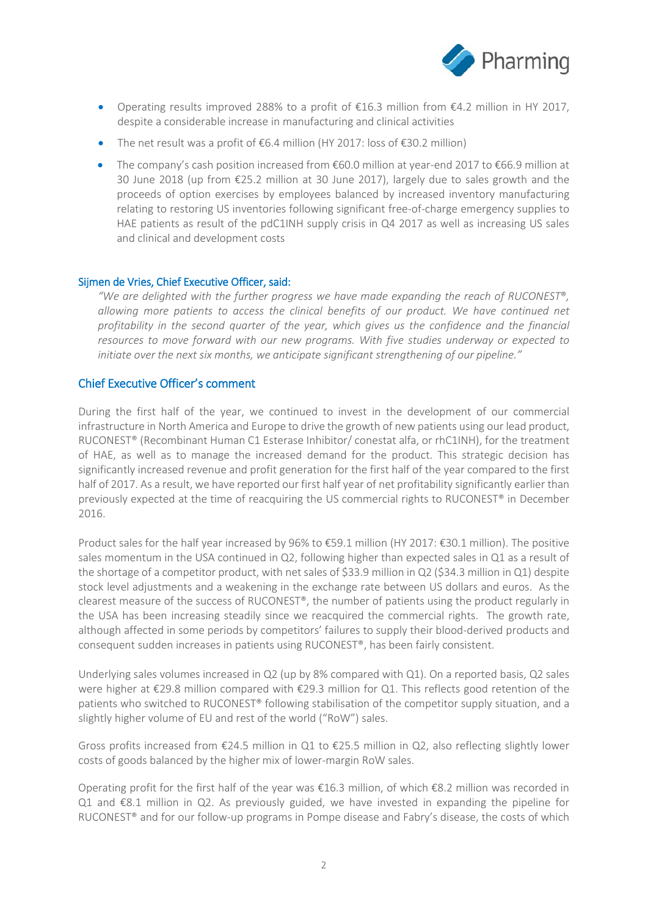

- Operating results improved 288% to a profit of €16.3 million from €4.2 million in HY 2017, despite a considerable increase in manufacturing and clinical activities
- The net result was a profit of €6.4 million (HY 2017: loss of €30.2 million)
- The company's cash position increased from €60.0 million at year-end 2017 to €66.9 million at 30 June 2018 (up from €25.2 million at 30 June 2017), largely due to sales growth and the proceeds of option exercises by employees balanced by increased inventory manufacturing relating to restoring US inventories following significant free-of-charge emergency supplies to HAE patients as result of the pdC1INH supply crisis in Q4 2017 as well as increasing US sales and clinical and development costs

### Sijmen de Vries, Chief Executive Officer, said:

*"We are delighted with the further progress we have made expanding the reach of RUCONEST*®*, allowing more patients to access the clinical benefits of our product. We have continued net profitability in the second quarter of the year, which gives us the confidence and the financial resources to move forward with our new programs. With five studies underway or expected to initiate over the next six months, we anticipate significant strengthening of our pipeline."*

### Chief Executive Officer's comment

During the first half of the year, we continued to invest in the development of our commercial infrastructure in North America and Europe to drive the growth of new patients using our lead product, RUCONEST® (Recombinant Human C1 Esterase Inhibitor/ conestat alfa, or rhC1INH), for the treatment of HAE, as well as to manage the increased demand for the product. This strategic decision has significantly increased revenue and profit generation for the first half of the year compared to the first half of 2017. As a result, we have reported our first half year of net profitability significantly earlier than previously expected at the time of reacquiring the US commercial rights to RUCONEST® in December 2016.

Product sales for the half year increased by 96% to €59.1 million (HY 2017: €30.1 million). The positive sales momentum in the USA continued in Q2, following higher than expected sales in Q1 as a result of the shortage of a competitor product, with net sales of \$33.9 million in Q2 (\$34.3 million in Q1) despite stock level adjustments and a weakening in the exchange rate between US dollars and euros. As the clearest measure of the success of RUCONEST®, the number of patients using the product regularly in the USA has been increasing steadily since we reacquired the commercial rights. The growth rate, although affected in some periods by competitors' failures to supply their blood-derived products and consequent sudden increases in patients using RUCONEST®, has been fairly consistent.

Underlying sales volumes increased in Q2 (up by 8% compared with Q1). On a reported basis, Q2 sales were higher at €29.8 million compared with €29.3 million for Q1. This reflects good retention of the patients who switched to RUCONEST® following stabilisation of the competitor supply situation, and a slightly higher volume of EU and rest of the world ("RoW") sales.

Gross profits increased from €24.5 million in Q1 to €25.5 million in Q2, also reflecting slightly lower costs of goods balanced by the higher mix of lower-margin RoW sales.

Operating profit for the first half of the year was  $\epsilon$ 16.3 million, of which  $\epsilon$ 8.2 million was recorded in Q1 and €8.1 million in Q2. As previously guided, we have invested in expanding the pipeline for RUCONEST<sup>®</sup> and for our follow-up programs in Pompe disease and Fabry's disease, the costs of which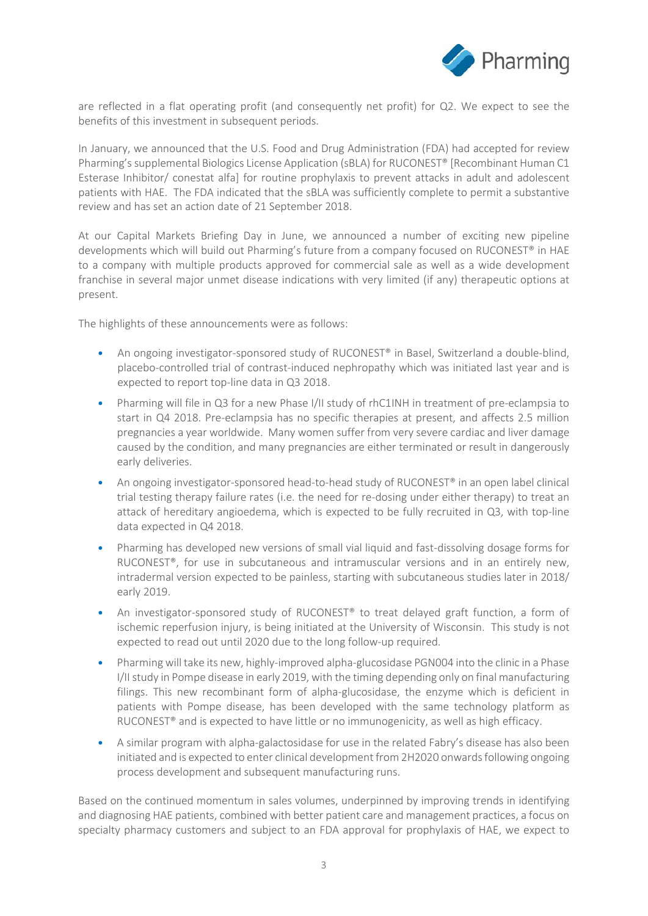

are reflected in a flat operating profit (and consequently net profit) for Q2. We expect to see the benefits of this investment in subsequent periods.

In January, we announced that the U.S. Food and Drug Administration (FDA) had accepted for review Pharming's supplemental Biologics License Application (sBLA) for RUCONEST® [Recombinant Human C1 Esterase Inhibitor/ conestat alfa] for routine prophylaxis to prevent attacks in adult and adolescent patients with HAE. The FDA indicated that the sBLA was sufficiently complete to permit a substantive review and has set an action date of 21 September 2018.

At our Capital Markets Briefing Day in June, we announced a number of exciting new pipeline developments which will build out Pharming's future from a company focused on RUCONEST® in HAE to a company with multiple products approved for commercial sale as well as a wide development franchise in several major unmet disease indications with very limited (if any) therapeutic options at present.

The highlights of these announcements were as follows:

- An ongoing investigator-sponsored study of RUCONEST<sup>®</sup> in Basel, Switzerland a double-blind, placebo-controlled trial of contrast-induced nephropathy which was initiated last year and is expected to report top-line data in Q3 2018.
- Pharming will file in Q3 for a new Phase I/II study of rhC1INH in treatment of pre-eclampsia to start in Q4 2018. Pre-eclampsia has no specific therapies at present, and affects 2.5 million pregnancies a year worldwide. Many women suffer from very severe cardiac and liver damage caused by the condition, and many pregnancies are either terminated or result in dangerously early deliveries.
- An ongoing investigator-sponsored head-to-head study of RUCONEST® in an open label clinical trial testing therapy failure rates (i.e. the need for re-dosing under either therapy) to treat an attack of hereditary angioedema, which is expected to be fully recruited in Q3, with top-line data expected in Q4 2018.
- Pharming has developed new versions of small vial liquid and fast-dissolving dosage forms for RUCONEST®, for use in subcutaneous and intramuscular versions and in an entirely new, intradermal version expected to be painless, starting with subcutaneous studies later in 2018/ early 2019.
- An investigator-sponsored study of RUCONEST® to treat delayed graft function, a form of ischemic reperfusion injury, is being initiated at the University of Wisconsin. This study is not expected to read out until 2020 due to the long follow-up required.
- Pharming will take its new, highly-improved alpha-glucosidase PGN004 into the clinic in a Phase I/II study in Pompe disease in early 2019, with the timing depending only on final manufacturing filings. This new recombinant form of alpha-glucosidase, the enzyme which is deficient in patients with Pompe disease, has been developed with the same technology platform as RUCONEST<sup>®</sup> and is expected to have little or no immunogenicity, as well as high efficacy.
- A similar program with alpha-galactosidase for use in the related Fabry's disease has also been initiated and is expected to enter clinical development from 2H2020 onwards following ongoing process development and subsequent manufacturing runs.

Based on the continued momentum in sales volumes, underpinned by improving trends in identifying and diagnosing HAE patients, combined with better patient care and management practices, a focus on specialty pharmacy customers and subject to an FDA approval for prophylaxis of HAE, we expect to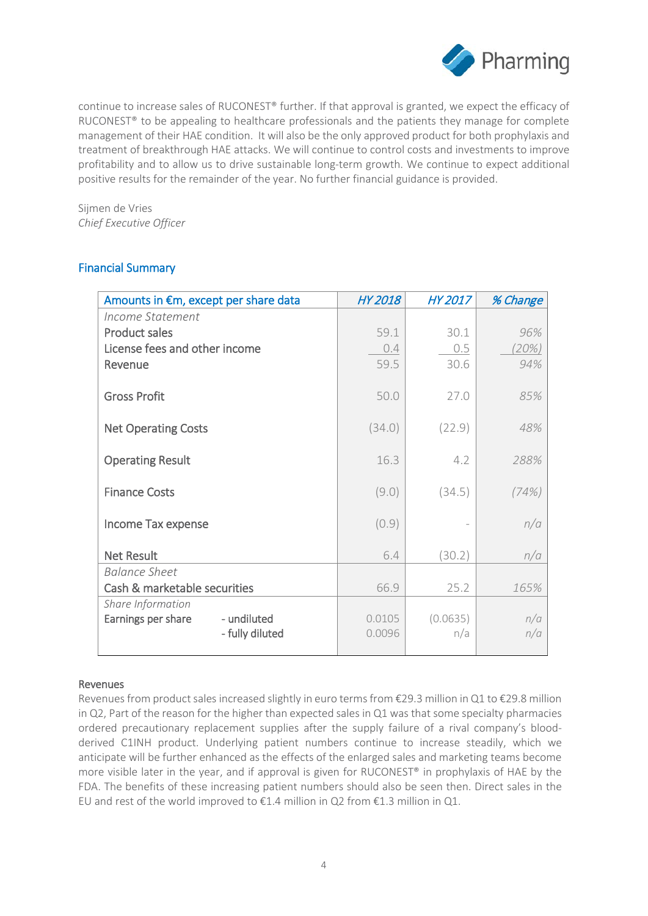

continue to increase sales of RUCONEST® further. If that approval is granted, we expect the efficacy of RUCONEST<sup>®</sup> to be appealing to healthcare professionals and the patients they manage for complete management of their HAE condition. It will also be the only approved product for both prophylaxis and treatment of breakthrough HAE attacks. We will continue to control costs and investments to improve profitability and to allow us to drive sustainable long-term growth. We continue to expect additional positive results for the remainder of the year. No further financial guidance is provided.

Sijmen de Vries *Chief Executive Officer* 

## Financial Summary

| Amounts in €m, except per share data | HY 2018 | HY 2017  | % Change |
|--------------------------------------|---------|----------|----------|
| Income Statement                     |         |          |          |
| <b>Product sales</b>                 | 59.1    | 30.1     | 96%      |
| License fees and other income        | 0.4     | 0.5      | (20%)    |
| Revenue                              | 59.5    | 30.6     | 94%      |
|                                      |         |          |          |
| <b>Gross Profit</b>                  | 50.0    | 27.0     | 85%      |
|                                      |         |          |          |
| <b>Net Operating Costs</b>           | (34.0)  | (22.9)   | 48%      |
|                                      |         |          |          |
| <b>Operating Result</b>              | 16.3    | 4.2      | 288%     |
|                                      |         |          |          |
| <b>Finance Costs</b>                 | (9.0)   | (34.5)   | (74%)    |
|                                      |         |          |          |
| Income Tax expense                   | (0.9)   |          | n/a      |
| <b>Net Result</b>                    | 6.4     | (30.2)   | n/a      |
| <b>Balance Sheet</b>                 |         |          |          |
| Cash & marketable securities         | 66.9    | 25.2     | 165%     |
| Share Information                    |         |          |          |
| - undiluted<br>Earnings per share    | 0.0105  | (0.0635) | n/a      |
| - fully diluted                      | 0.0096  | n/a      | n/a      |
|                                      |         |          |          |

### Revenues

Revenues from product sales increased slightly in euro terms from €29.3 million in Q1 to €29.8 million in Q2, Part of the reason for the higher than expected sales in Q1 was that some specialty pharmacies ordered precautionary replacement supplies after the supply failure of a rival company's bloodderived C1INH product. Underlying patient numbers continue to increase steadily, which we anticipate will be further enhanced as the effects of the enlarged sales and marketing teams become more visible later in the year, and if approval is given for RUCONEST® in prophylaxis of HAE by the FDA. The benefits of these increasing patient numbers should also be seen then. Direct sales in the EU and rest of the world improved to  $\epsilon$ 1.4 million in Q2 from  $\epsilon$ 1.3 million in Q1.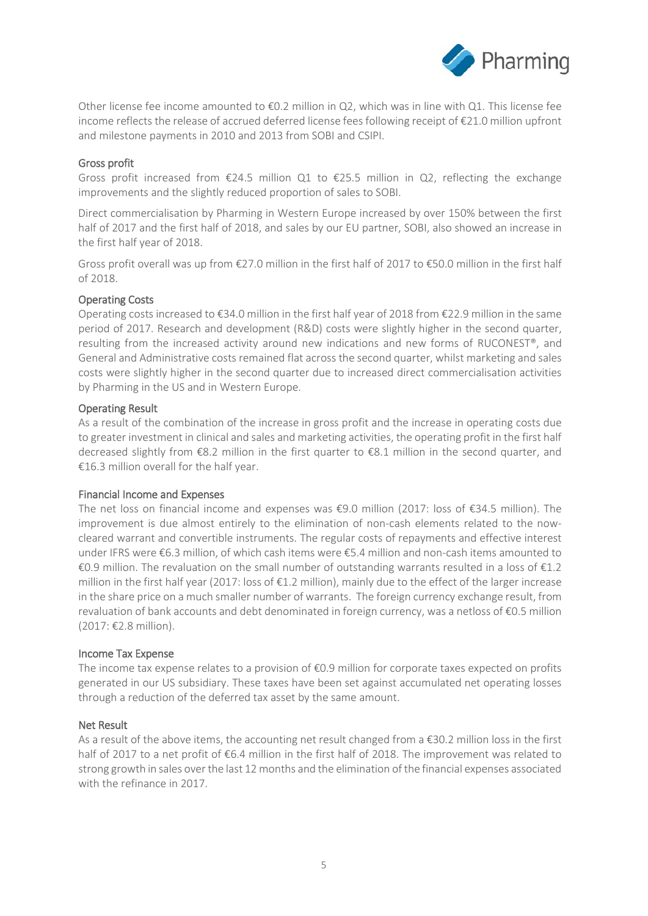

Other license fee income amounted to €0.2 million in Q2, which was in line with Q1. This license fee income reflects the release of accrued deferred license fees following receipt of €21.0 million upfront and milestone payments in 2010 and 2013 from SOBI and CSIPI.

### Gross profit

Gross profit increased from  $\epsilon$ 24.5 million Q1 to  $\epsilon$ 25.5 million in Q2, reflecting the exchange improvements and the slightly reduced proportion of sales to SOBI.

Direct commercialisation by Pharming in Western Europe increased by over 150% between the first half of 2017 and the first half of 2018, and sales by our EU partner, SOBI, also showed an increase in the first half year of 2018.

Gross profit overall was up from €27.0 million in the first half of 2017 to €50.0 million in the first half of 2018.

### Operating Costs

Operating costs increased to €34.0 million in the first half year of 2018 from €22.9 million in the same period of 2017. Research and development (R&D) costs were slightly higher in the second quarter, resulting from the increased activity around new indications and new forms of RUCONEST®, and General and Administrative costs remained flat across the second quarter, whilst marketing and sales costs were slightly higher in the second quarter due to increased direct commercialisation activities by Pharming in the US and in Western Europe.

### Operating Result

As a result of the combination of the increase in gross profit and the increase in operating costs due to greater investment in clinical and sales and marketing activities, the operating profit in the first half decreased slightly from €8.2 million in the first quarter to €8.1 million in the second quarter, and €16.3 million overall for the half year.

### Financial Income and Expenses

The net loss on financial income and expenses was €9.0 million (2017: loss of €34.5 million). The improvement is due almost entirely to the elimination of non-cash elements related to the nowcleared warrant and convertible instruments. The regular costs of repayments and effective interest under IFRS were €6.3 million, of which cash items were €5.4 million and non-cash items amounted to €0.9 million. The revaluation on the small number of outstanding warrants resulted in a loss of €1.2 million in the first half year (2017: loss of €1.2 million), mainly due to the effect of the larger increase in the share price on a much smaller number of warrants. The foreign currency exchange result, from revaluation of bank accounts and debt denominated in foreign currency, was a netloss of €0.5 million (2017: €2.8 million).

### Income Tax Expense

The income tax expense relates to a provision of €0.9 million for corporate taxes expected on profits generated in our US subsidiary. These taxes have been set against accumulated net operating losses through a reduction of the deferred tax asset by the same amount.

### Net Result

As a result of the above items, the accounting net result changed from a €30.2 million loss in the first half of 2017 to a net profit of €6.4 million in the first half of 2018. The improvement was related to strong growth in sales over the last 12 months and the elimination of the financial expenses associated with the refinance in 2017.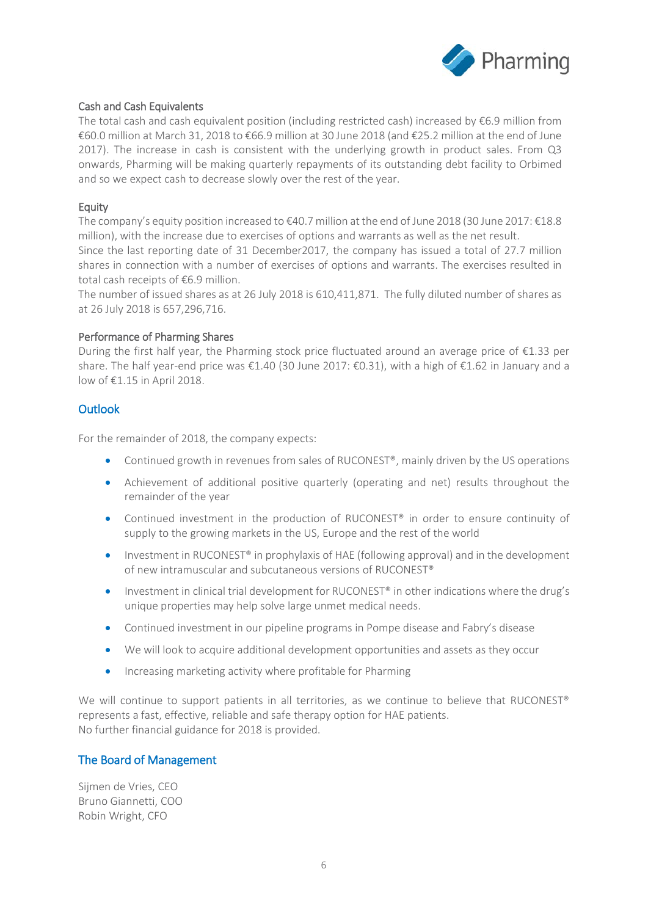

### Cash and Cash Equivalents

The total cash and cash equivalent position (including restricted cash) increased by  $\epsilon$ 6.9 million from €60.0 million at March 31, 2018 to €66.9 million at 30 June 2018 (and €25.2 million at the end of June 2017). The increase in cash is consistent with the underlying growth in product sales. From Q3 onwards, Pharming will be making quarterly repayments of its outstanding debt facility to Orbimed and so we expect cash to decrease slowly over the rest of the year.

### Equity

The company's equity position increased to €40.7 million at the end of June 2018 (30 June 2017: €18.8 million), with the increase due to exercises of options and warrants as well as the net result. Since the last reporting date of 31 December2017, the company has issued a total of 27.7 million shares in connection with a number of exercises of options and warrants. The exercises resulted in total cash receipts of €6.9 million.

The number of issued shares as at 26 July 2018 is 610,411,871. The fully diluted number of shares as at 26 July 2018 is 657,296,716.

### Performance of Pharming Shares

During the first half year, the Pharming stock price fluctuated around an average price of  $\epsilon$ 1.33 per share. The half year-end price was €1.40 (30 June 2017: €0.31), with a high of €1.62 in January and a low of €1.15 in April 2018.

### **Outlook**

For the remainder of 2018, the company expects:

- Continued growth in revenues from sales of RUCONEST<sup>®</sup>, mainly driven by the US operations
- Achievement of additional positive quarterly (operating and net) results throughout the remainder of the year
- Continued investment in the production of RUCONEST® in order to ensure continuity of supply to the growing markets in the US, Europe and the rest of the world
- Investment in RUCONEST<sup>®</sup> in prophylaxis of HAE (following approval) and in the development of new intramuscular and subcutaneous versions of RUCONEST®
- Investment in clinical trial development for RUCONEST® in other indications where the drug's unique properties may help solve large unmet medical needs.
- Continued investment in our pipeline programs in Pompe disease and Fabry's disease
- We will look to acquire additional development opportunities and assets as they occur
- Increasing marketing activity where profitable for Pharming

We will continue to support patients in all territories, as we continue to believe that RUCONEST® represents a fast, effective, reliable and safe therapy option for HAE patients. No further financial guidance for 2018 is provided.

### The Board of Management

Sijmen de Vries, CEO Bruno Giannetti, COO Robin Wright, CFO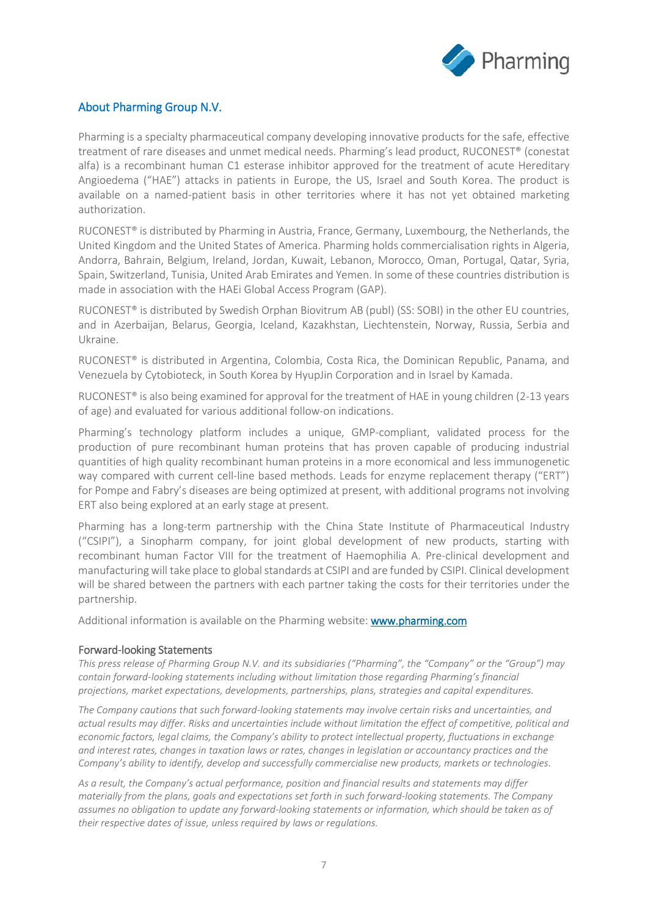

## About Pharming Group N.V.

Pharming is a specialty pharmaceutical company developing innovative products for the safe, effective treatment of rare diseases and unmet medical needs. Pharming's lead product, RUCONEST® (conestat alfa) is a recombinant human C1 esterase inhibitor approved for the treatment of acute Hereditary Angioedema ("HAE") attacks in patients in Europe, the US, Israel and South Korea. The product is available on a named-patient basis in other territories where it has not yet obtained marketing authorization.

RUCONEST® is distributed by Pharming in Austria, France, Germany, Luxembourg, the Netherlands, the United Kingdom and the United States of America. Pharming holds commercialisation rights in Algeria, Andorra, Bahrain, Belgium, Ireland, Jordan, Kuwait, Lebanon, Morocco, Oman, Portugal, Qatar, Syria, Spain, Switzerland, Tunisia, United Arab Emirates and Yemen. In some of these countries distribution is made in association with the HAEi Global Access Program (GAP).

RUCONEST® is distributed by Swedish Orphan Biovitrum AB (publ) (SS: SOBI) in the other EU countries, and in Azerbaijan, Belarus, Georgia, Iceland, Kazakhstan, Liechtenstein, Norway, Russia, Serbia and Ukraine.

RUCONEST® is distributed in Argentina, Colombia, Costa Rica, the Dominican Republic, Panama, and Venezuela by Cytobioteck, in South Korea by HyupJin Corporation and in Israel by Kamada.

RUCONEST<sup>®</sup> is also being examined for approval for the treatment of HAE in young children (2-13 years of age) and evaluated for various additional follow-on indications.

Pharming's technology platform includes a unique, GMP-compliant, validated process for the production of pure recombinant human proteins that has proven capable of producing industrial quantities of high quality recombinant human proteins in a more economical and less immunogenetic way compared with current cell-line based methods. Leads for enzyme replacement therapy ("ERT") for Pompe and Fabry's diseases are being optimized at present, with additional programs not involving ERT also being explored at an early stage at present.

Pharming has a long-term partnership with the China State Institute of Pharmaceutical Industry ("CSIPI"), a Sinopharm company, for joint global development of new products, starting with recombinant human Factor VIII for the treatment of Haemophilia A. Pre-clinical development and manufacturing will take place to global standards at CSIPI and are funded by CSIPI. Clinical development will be shared between the partners with each partner taking the costs for their territories under the partnership.

Additional information is available on the Pharming website: www.pharming.com

### Forward-looking Statements

*This press release of Pharming Group N.V. and its subsidiaries ("Pharming", the "Company" or the "Group") may contain forward-looking statements including without limitation those regarding Pharming's financial projections, market expectations, developments, partnerships, plans, strategies and capital expenditures.*

*The Company cautions that such forward-looking statements may involve certain risks and uncertainties, and actual results may differ. Risks and uncertainties include without limitation the effect of competitive, political and economic factors, legal claims, the Company's ability to protect intellectual property, fluctuations in exchange and interest rates, changes in taxation laws or rates, changes in legislation or accountancy practices and the Company's ability to identify, develop and successfully commercialise new products, markets or technologies.*

*As a result, the Company's actual performance, position and financial results and statements may differ materially from the plans, goals and expectations set forth in such forward-looking statements. The Company assumes no obligation to update any forward-looking statements or information, which should be taken as of their respective dates of issue, unless required by laws or regulations.*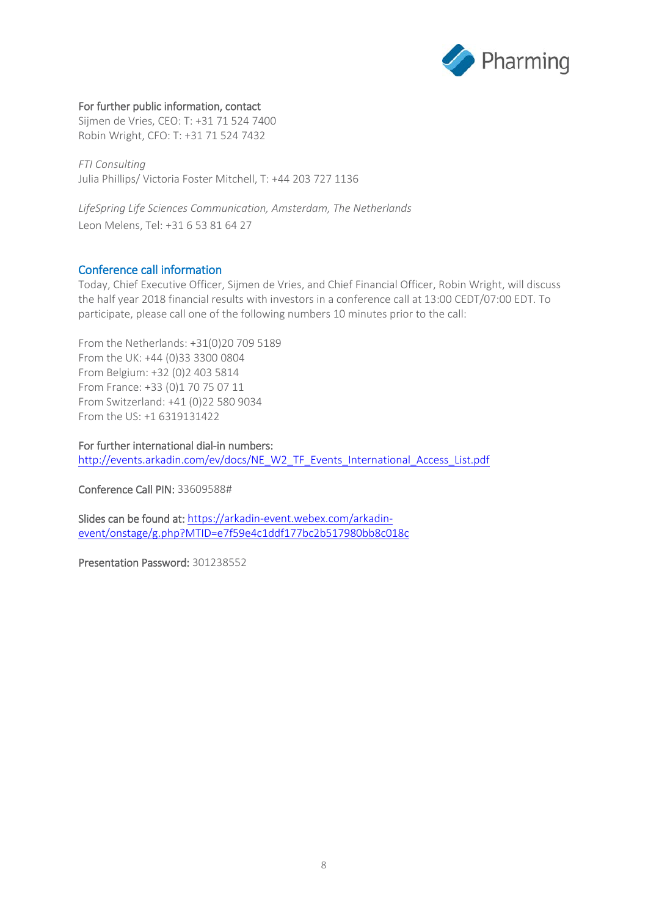

### For further public information, contact

Sijmen de Vries, CEO: T: +31 71 524 7400 Robin Wright, CFO: T: +31 71 524 7432

*FTI Consulting* Julia Phillips/ Victoria Foster Mitchell, T: +44 203 727 1136

*LifeSpring Life Sciences Communication, Amsterdam, The Netherlands* Leon Melens, Tel: +31 6 53 81 64 27

### Conference call information

Today, Chief Executive Officer, Sijmen de Vries, and Chief Financial Officer, Robin Wright, will discuss the half year 2018 financial results with investors in a conference call at 13:00 CEDT/07:00 EDT. To participate, please call one of the following numbers 10 minutes prior to the call:

From the Netherlands: +31(0)20 709 5189 From the UK: +44 (0)33 3300 0804 From Belgium: +32 (0)2 403 5814 From France: +33 (0)1 70 75 07 11 From Switzerland: +41 (0)22 580 9034 From the US: +1 6319131422

For further international dial-in numbers: [http://events.arkadin.com/ev/docs/NE\\_W2\\_TF\\_Events\\_International\\_Access\\_List.pdf](http://events.arkadin.com/ev/docs/NE_W2_TF_Events_International_Access_List.pdf)

Conference Call PIN: 33609588#

Slides can be found at[: https://arkadin-event.webex.com/arkadin](https://arkadin-event.webex.com/arkadin-event/onstage/g.php?MTID=e7f59e4c1ddf177bc2b517980bb8c018c)[event/onstage/g.php?MTID=e7f59e4c1ddf177bc2b517980bb8c018c](https://arkadin-event.webex.com/arkadin-event/onstage/g.php?MTID=e7f59e4c1ddf177bc2b517980bb8c018c)

Presentation Password: 301238552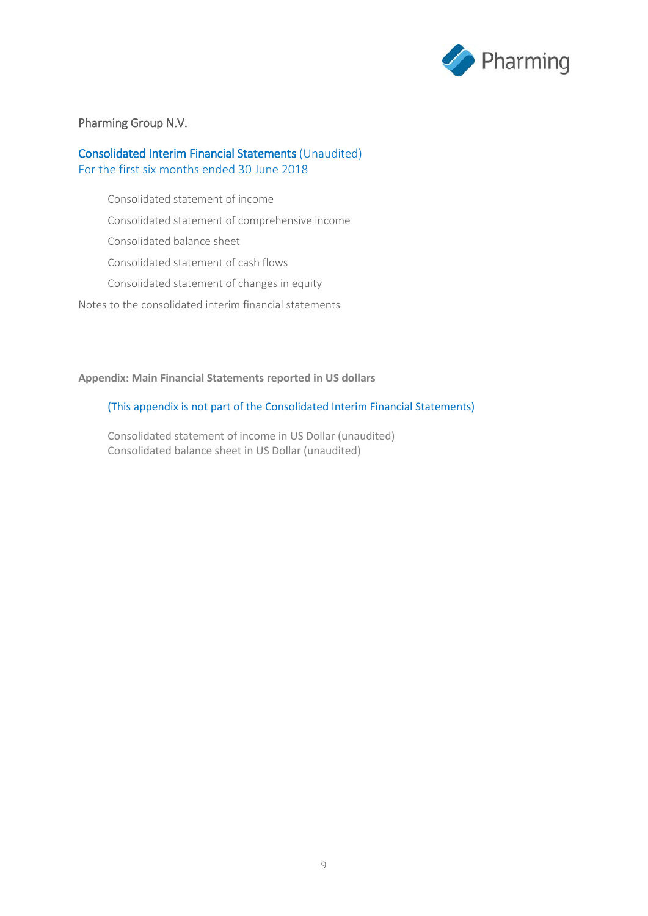

### Pharming Group N.V.

## Consolidated Interim Financial Statements (Unaudited) For the first six months ended 30 June 2018

Consolidated statement of income

Consolidated statement of comprehensive income

Consolidated balance sheet

Consolidated statement of cash flows

Consolidated statement of changes in equity

Notes to the consolidated interim financial statements

### **Appendix: Main Financial Statements reported in US dollars**

### (This appendix is not part of the Consolidated Interim Financial Statements)

Consolidated statement of income in US Dollar (unaudited) Consolidated balance sheet in US Dollar (unaudited)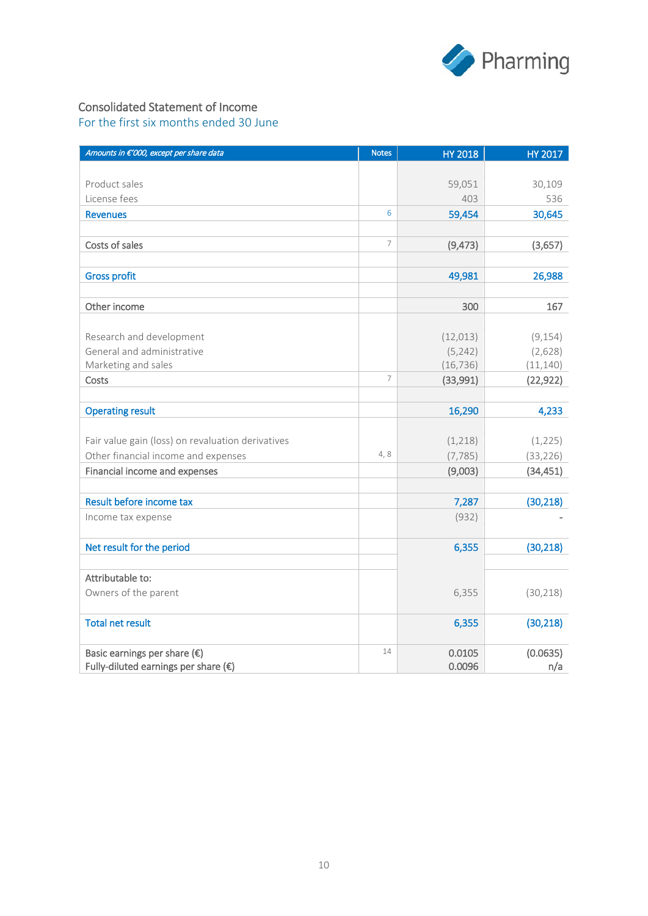

## Consolidated Statement of Income

For the first six months ended 30 June

| Amounts in €'000, except per share data           | <b>Notes</b>   | <b>HY 2018</b> | HY 2017   |
|---------------------------------------------------|----------------|----------------|-----------|
|                                                   |                |                |           |
| Product sales                                     |                | 59,051         | 30,109    |
| License fees                                      |                | 403            | 536       |
| <b>Revenues</b>                                   | 6              | 59,454         | 30,645    |
|                                                   |                |                |           |
| Costs of sales                                    | 7              | (9, 473)       | (3,657)   |
|                                                   |                |                |           |
| <b>Gross profit</b>                               |                | 49,981         | 26,988    |
|                                                   |                |                |           |
| Other income                                      |                | 300            | 167       |
|                                                   |                |                |           |
| Research and development                          |                | (12, 013)      | (9, 154)  |
| General and administrative                        |                | (5, 242)       | (2,628)   |
| Marketing and sales                               |                | (16, 736)      | (11, 140) |
| Costs                                             | $\overline{7}$ | (33,991)       | (22, 922) |
|                                                   |                |                |           |
| <b>Operating result</b>                           |                | 16,290         | 4,233     |
|                                                   |                |                |           |
| Fair value gain (loss) on revaluation derivatives |                | (1,218)        | (1, 225)  |
| Other financial income and expenses               | 4,8            | (7, 785)       | (33, 226) |
| Financial income and expenses                     |                | (9,003)        | (34, 451) |
|                                                   |                |                |           |
| Result before income tax                          |                | 7,287          | (30, 218) |
| Income tax expense                                |                | (932)          |           |
|                                                   |                |                |           |
| Net result for the period                         |                | 6,355          | (30, 218) |
|                                                   |                |                |           |
| Attributable to:                                  |                |                |           |
| Owners of the parent                              |                | 6,355          | (30, 218) |
|                                                   |                |                |           |
| <b>Total net result</b>                           |                | 6,355          | (30, 218) |
|                                                   |                |                |           |
| Basic earnings per share $(\epsilon)$             | 14             | 0.0105         | (0.0635)  |
| Fully-diluted earnings per share $(\epsilon)$     |                | 0.0096         | n/a       |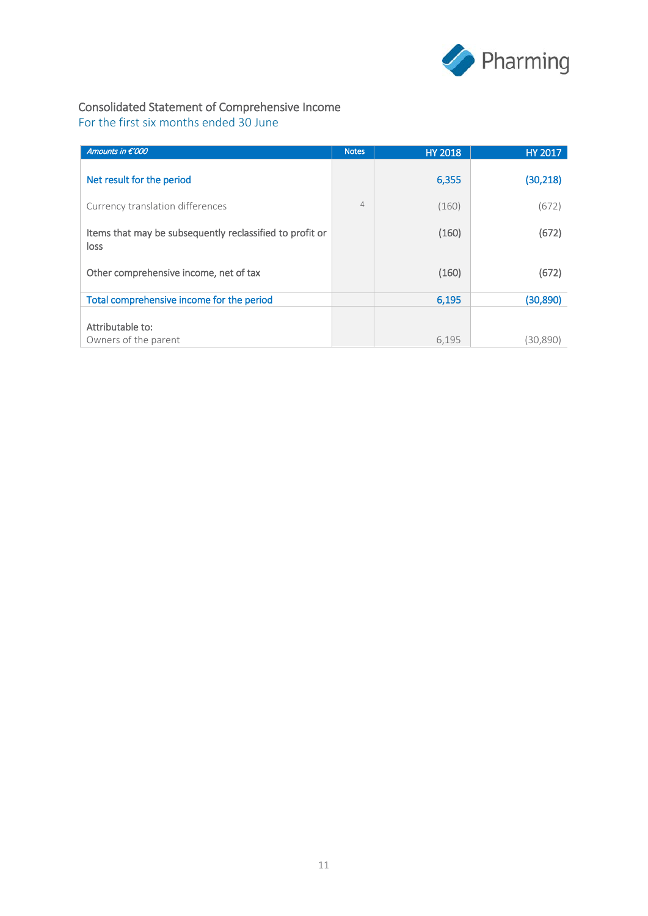

## Consolidated Statement of Comprehensive Income

For the first six months ended 30 June

| Amounts in $\epsilon'$ 000                                       | <b>Notes</b>   | <b>HY 2018</b> | <b>HY 2017</b> |
|------------------------------------------------------------------|----------------|----------------|----------------|
| Net result for the period                                        |                | 6,355          | (30,218)       |
| Currency translation differences                                 | $\overline{4}$ | (160)          | (672)          |
| Items that may be subsequently reclassified to profit or<br>loss |                | (160)          | (672)          |
| Other comprehensive income, net of tax                           |                | (160)          | (672)          |
| Total comprehensive income for the period                        |                | 6,195          | (30, 890)      |
| Attributable to:<br>Owners of the parent                         |                | 6,195          | (30,890)       |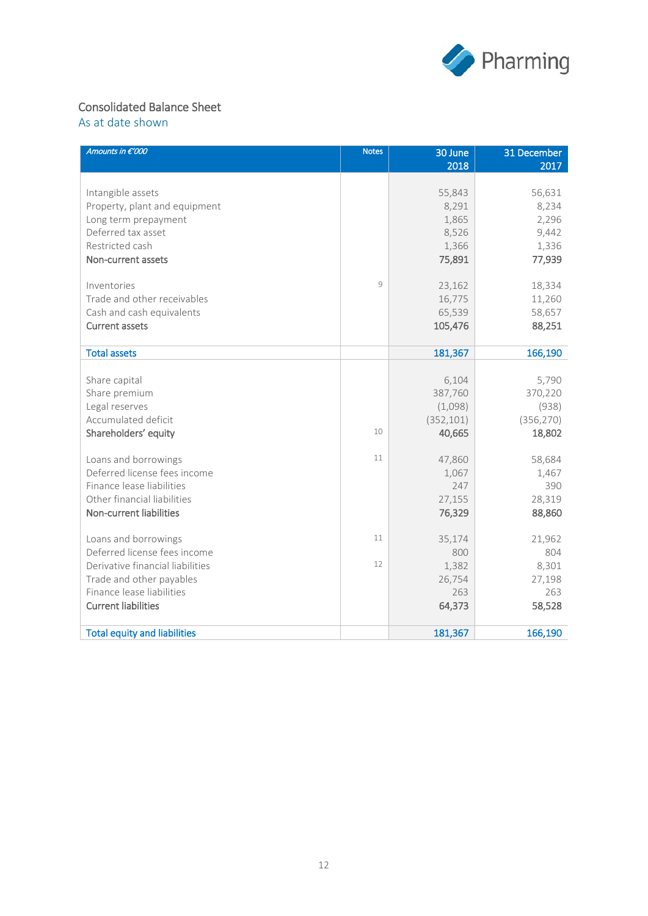

## Consolidated Balance Sheet

As at date shown

| Amounts in €'000                    | <b>Notes</b> | 30 June    | 31 December |
|-------------------------------------|--------------|------------|-------------|
|                                     |              | 2018       | 2017        |
| Intangible assets                   |              | 55,843     | 56,631      |
| Property, plant and equipment       |              | 8,291      | 8,234       |
| Long term prepayment                |              | 1,865      | 2,296       |
| Deferred tax asset                  |              | 8,526      | 9,442       |
| Restricted cash                     |              | 1,366      | 1,336       |
| Non-current assets                  |              | 75,891     | 77,939      |
| Inventories                         | 9            | 23,162     | 18,334      |
| Trade and other receivables         |              | 16,775     | 11,260      |
| Cash and cash equivalents           |              | 65,539     | 58,657      |
| <b>Current assets</b>               |              | 105,476    | 88,251      |
| <b>Total assets</b>                 |              | 181,367    | 166,190     |
|                                     |              |            |             |
| Share capital                       |              | 6,104      | 5,790       |
| Share premium                       |              | 387,760    | 370,220     |
| Legal reserves                      |              | (1,098)    | (938)       |
| Accumulated deficit                 |              | (352, 101) | (356, 270)  |
| Shareholders' equity                | 10           | 40,665     | 18,802      |
| Loans and borrowings                | 11           | 47,860     | 58,684      |
| Deferred license fees income        |              | 1,067      | 1,467       |
| Finance lease liabilities           |              | 247        | 390         |
| Other financial liabilities         |              | 27,155     | 28,319      |
| Non-current liabilities             |              | 76,329     | 88,860      |
| Loans and borrowings                | 11           | 35,174     | 21,962      |
| Deferred license fees income        |              | 800        | 804         |
| Derivative financial liabilities    | 12           | 1,382      | 8,301       |
| Trade and other payables            |              | 26,754     | 27,198      |
| Finance lease liabilities           |              | 263        | 263         |
| <b>Current liabilities</b>          |              | 64,373     | 58,528      |
| <b>Total equity and liabilities</b> |              | 181,367    | 166,190     |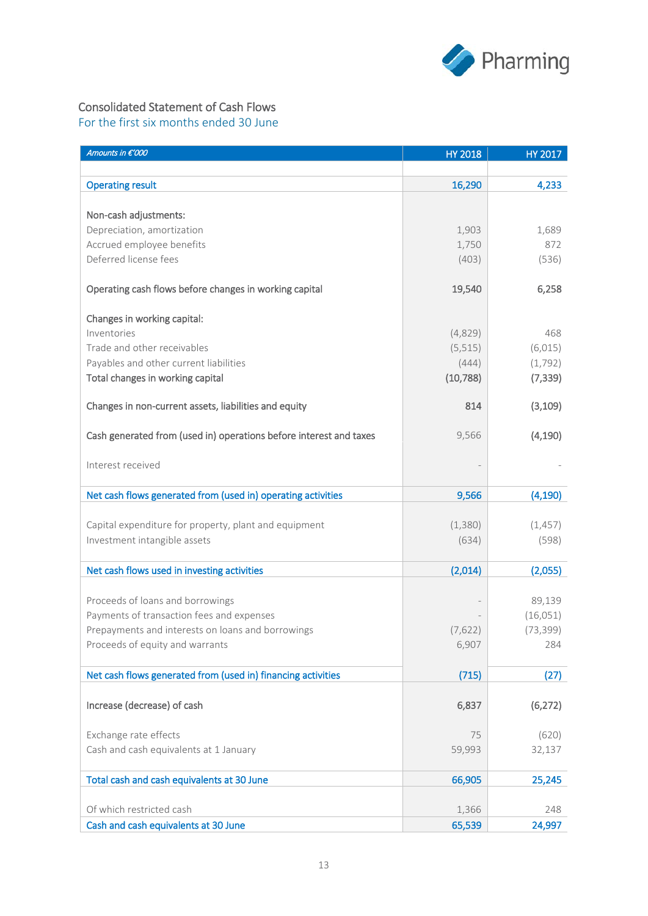

## Consolidated Statement of Cash Flows

For the first six months ended 30 June

| Amounts in €'000                                                   | <b>HY 2018</b> | HY 2017   |
|--------------------------------------------------------------------|----------------|-----------|
|                                                                    |                |           |
| <b>Operating result</b>                                            | 16,290         | 4,233     |
|                                                                    |                |           |
| Non-cash adjustments:                                              |                |           |
| Depreciation, amortization                                         | 1,903          | 1,689     |
| Accrued employee benefits                                          | 1,750          | 872       |
| Deferred license fees                                              | (403)          | (536)     |
| Operating cash flows before changes in working capital             | 19,540         | 6,258     |
|                                                                    |                |           |
| Changes in working capital:                                        |                |           |
| Inventories                                                        | (4,829)        | 468       |
| Trade and other receivables                                        | (5, 515)       | (6, 015)  |
| Payables and other current liabilities                             | (444)          | (1, 792)  |
| Total changes in working capital                                   | (10, 788)      | (7, 339)  |
| Changes in non-current assets, liabilities and equity              | 814            | (3, 109)  |
| Cash generated from (used in) operations before interest and taxes | 9,566          | (4, 190)  |
| Interest received                                                  |                |           |
|                                                                    |                |           |
| Net cash flows generated from (used in) operating activities       | 9,566          | (4, 190)  |
|                                                                    |                |           |
| Capital expenditure for property, plant and equipment              | (1,380)        | (1, 457)  |
| Investment intangible assets                                       | (634)          | (598)     |
| Net cash flows used in investing activities                        | (2,014)        | (2,055)   |
|                                                                    |                |           |
| Proceeds of loans and borrowings                                   |                | 89,139    |
| Payments of transaction fees and expenses                          |                | (16, 051) |
| Prepayments and interests on loans and borrowings                  | (7,622)        | (73, 399) |
| Proceeds of equity and warrants                                    | 6,907          | 284       |
| Net cash flows generated from (used in) financing activities       | (715)          | (27)      |
|                                                                    |                |           |
| Increase (decrease) of cash                                        | 6,837          | (6, 272)  |
| Exchange rate effects                                              | 75             | (620)     |
| Cash and cash equivalents at 1 January                             | 59,993         | 32,137    |
| Total cash and cash equivalents at 30 June                         | 66,905         | 25,245    |
|                                                                    |                |           |
| Of which restricted cash                                           | 1,366          | 248       |
| Cash and cash equivalents at 30 June                               | 65,539         | 24,997    |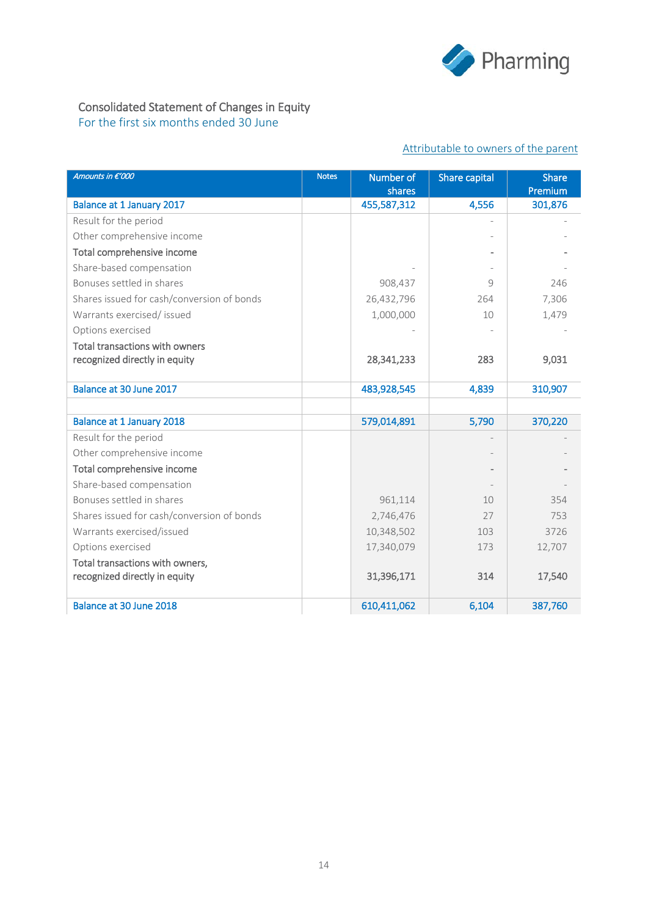

## Consolidated Statement of Changes in Equity

For the first six months ended 30 June

## Attributable to owners of the parent

| Amounts in €'000                           | <b>Notes</b> | Number of<br>shares | Share capital | <b>Share</b><br>Premium |
|--------------------------------------------|--------------|---------------------|---------------|-------------------------|
| Balance at 1 January 2017                  |              | 455,587,312         | 4,556         | 301,876                 |
| Result for the period                      |              |                     |               |                         |
| Other comprehensive income                 |              |                     |               |                         |
| Total comprehensive income                 |              |                     |               |                         |
| Share-based compensation                   |              |                     |               |                         |
| Bonuses settled in shares                  |              | 908,437             | $\circ$       | 246                     |
| Shares issued for cash/conversion of bonds |              | 26,432,796          | 264           | 7,306                   |
| Warrants exercised/ issued                 |              | 1,000,000           | 10            | 1,479                   |
| Options exercised                          |              |                     |               |                         |
| Total transactions with owners             |              |                     |               |                         |
| recognized directly in equity              |              | 28,341,233          | 283           | 9,031                   |
|                                            |              |                     |               |                         |
| Balance at 30 June 2017                    |              | 483,928,545         | 4,839         | 310,907                 |
|                                            |              |                     |               |                         |
| Balance at 1 January 2018                  |              | 579,014,891         | 5,790         | 370,220                 |
| Result for the period                      |              |                     |               |                         |
| Other comprehensive income                 |              |                     |               |                         |
| Total comprehensive income                 |              |                     |               |                         |
| Share-based compensation                   |              |                     |               |                         |
| Bonuses settled in shares                  |              | 961,114             | 10            | 354                     |
| Shares issued for cash/conversion of bonds |              | 2,746,476           | 27            | 753                     |
| Warrants exercised/issued                  |              | 10,348,502          | 103           | 3726                    |
| Options exercised                          |              | 17,340,079          | 173           | 12,707                  |
| Total transactions with owners,            |              |                     |               |                         |
| recognized directly in equity              |              | 31,396,171          | 314           | 17,540                  |
|                                            |              |                     |               |                         |
| Balance at 30 June 2018                    |              | 610,411,062         | 6,104         | 387,760                 |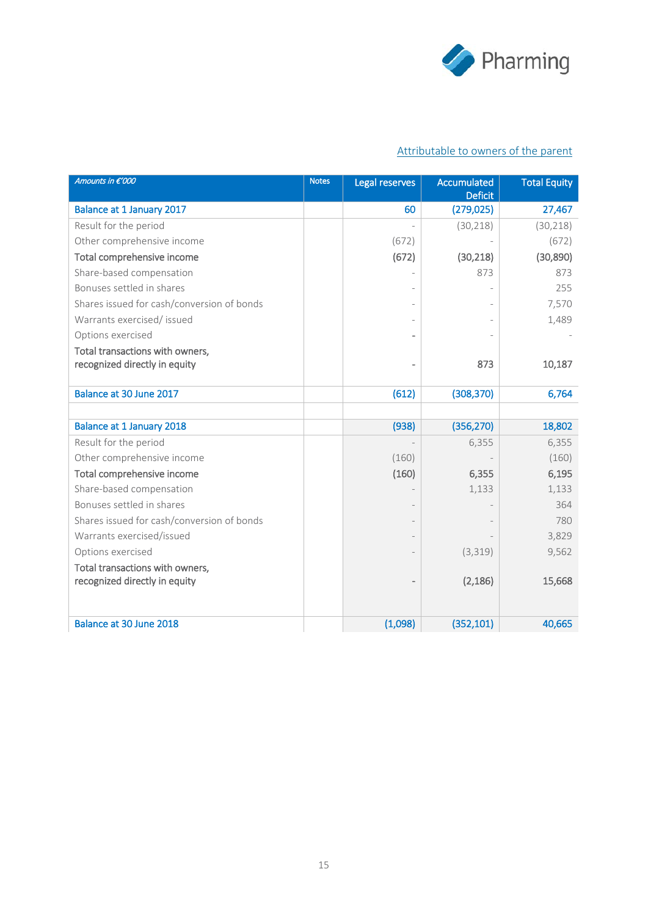

## Attributable to owners of the parent

| Amounts in €'000                           | <b>Notes</b> | Legal reserves           | Accumulated<br><b>Deficit</b> | <b>Total Equity</b> |
|--------------------------------------------|--------------|--------------------------|-------------------------------|---------------------|
| Balance at 1 January 2017                  |              | 60                       | (279, 025)                    | 27,467              |
| Result for the period                      |              |                          | (30, 218)                     | (30, 218)           |
| Other comprehensive income                 |              | (672)                    |                               | (672)               |
| Total comprehensive income                 |              | (672)                    | (30, 218)                     | (30, 890)           |
| Share-based compensation                   |              |                          | 873                           | 873                 |
| Bonuses settled in shares                  |              |                          |                               | 255                 |
| Shares issued for cash/conversion of bonds |              |                          |                               | 7,570               |
| Warrants exercised/ issued                 |              |                          |                               | 1,489               |
| Options exercised                          |              |                          |                               |                     |
| Total transactions with owners,            |              |                          |                               |                     |
| recognized directly in equity              |              | $\overline{\phantom{a}}$ | 873                           | 10,187              |
| Balance at 30 June 2017                    |              | (612)                    | (308, 370)                    | 6,764               |
|                                            |              |                          |                               |                     |
| <b>Balance at 1 January 2018</b>           |              | (938)                    | (356, 270)                    | 18,802              |
| Result for the period                      |              |                          | 6,355                         | 6,355               |
| Other comprehensive income                 |              | (160)                    |                               | (160)               |
| Total comprehensive income                 |              | (160)                    | 6,355                         | 6,195               |
| Share-based compensation                   |              |                          | 1,133                         | 1,133               |
| Bonuses settled in shares                  |              |                          |                               | 364                 |
| Shares issued for cash/conversion of bonds |              |                          |                               | 780                 |
| Warrants exercised/issued                  |              |                          |                               | 3,829               |
| Options exercised                          |              |                          | (3, 319)                      | 9,562               |
| Total transactions with owners,            |              |                          |                               |                     |
| recognized directly in equity              |              |                          | (2, 186)                      | 15,668              |
|                                            |              |                          |                               |                     |
| Balance at 30 June 2018                    |              | (1,098)                  | (352, 101)                    | 40,665              |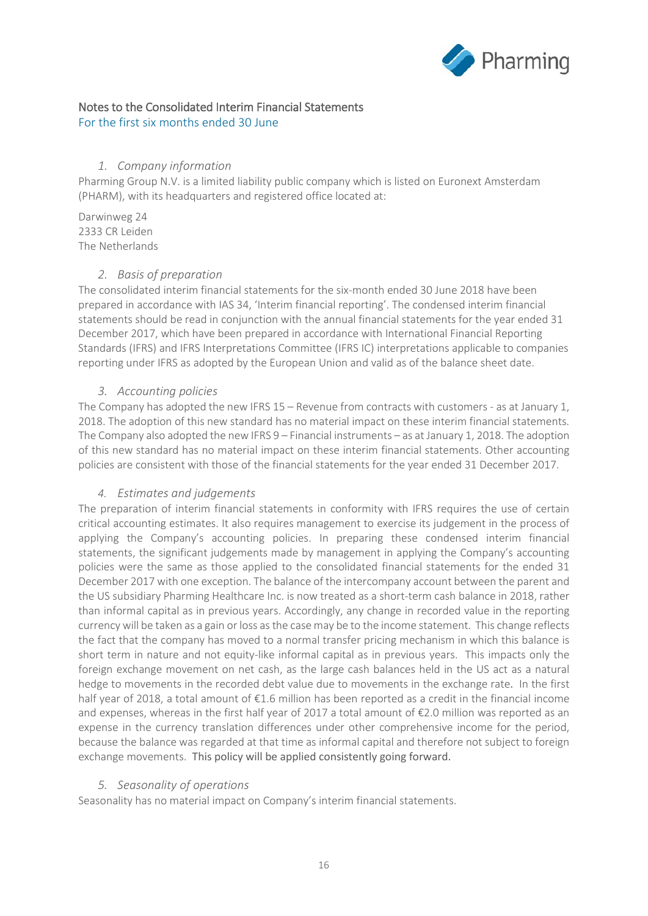

## Notes to the Consolidated Interim Financial Statements

For the first six months ended 30 June

### *1. Company information*

Pharming Group N.V. is a limited liability public company which is listed on Euronext Amsterdam (PHARM), with its headquarters and registered office located at:

Darwinweg 24 2333 CR Leiden The Netherlands

### *2. Basis of preparation*

The consolidated interim financial statements for the six-month ended 30 June 2018 have been prepared in accordance with IAS 34, 'Interim financial reporting'. The condensed interim financial statements should be read in conjunction with the annual financial statements for the year ended 31 December 2017, which have been prepared in accordance with International Financial Reporting Standards (IFRS) and IFRS Interpretations Committee (IFRS IC) interpretations applicable to companies reporting under IFRS as adopted by the European Union and valid as of the balance sheet date.

### *3. Accounting policies*

The Company has adopted the new IFRS 15 – Revenue from contracts with customers - as at January 1, 2018. The adoption of this new standard has no material impact on these interim financial statements. The Company also adopted the new IFRS 9 – Financial instruments – as at January 1, 2018. The adoption of this new standard has no material impact on these interim financial statements. Other accounting policies are consistent with those of the financial statements for the year ended 31 December 2017.

### *4. Estimates and judgements*

The preparation of interim financial statements in conformity with IFRS requires the use of certain critical accounting estimates. It also requires management to exercise its judgement in the process of applying the Company's accounting policies. In preparing these condensed interim financial statements, the significant judgements made by management in applying the Company's accounting policies were the same as those applied to the consolidated financial statements for the ended 31 December 2017 with one exception. The balance of the intercompany account between the parent and the US subsidiary Pharming Healthcare Inc. is now treated as a short-term cash balance in 2018, rather than informal capital as in previous years. Accordingly, any change in recorded value in the reporting currency will be taken as a gain or loss as the case may be to the income statement. This change reflects the fact that the company has moved to a normal transfer pricing mechanism in which this balance is short term in nature and not equity-like informal capital as in previous years. This impacts only the foreign exchange movement on net cash, as the large cash balances held in the US act as a natural hedge to movements in the recorded debt value due to movements in the exchange rate. In the first half year of 2018, a total amount of €1.6 million has been reported as a credit in the financial income and expenses, whereas in the first half year of 2017 a total amount of €2.0 million was reported as an expense in the currency translation differences under other comprehensive income for the period, because the balance was regarded at that time as informal capital and therefore not subject to foreign exchange movements. This policy will be applied consistently going forward.

### *5. Seasonality of operations*

Seasonality has no material impact on Company's interim financial statements.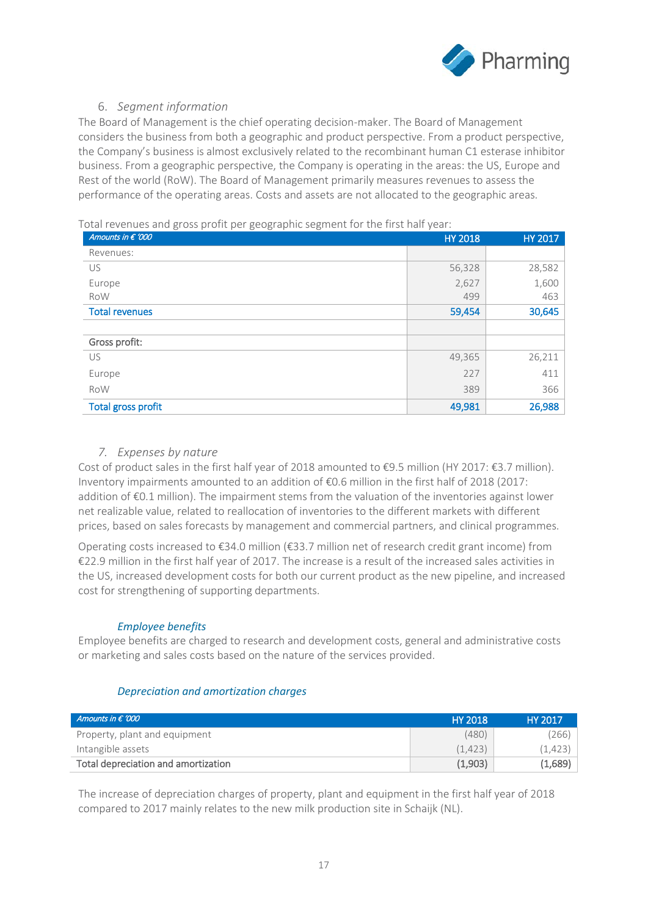

## 6. *Segment information*

The Board of Management is the chief operating decision-maker. The Board of Management considers the business from both a geographic and product perspective. From a product perspective, the Company's business is almost exclusively related to the recombinant human C1 esterase inhibitor business. From a geographic perspective, the Company is operating in the areas: the US, Europe and Rest of the world (RoW). The Board of Management primarily measures revenues to assess the performance of the operating areas. Costs and assets are not allocated to the geographic areas.

Total revenues and gross profit per geographic segment for the first half year:

| Amounts in $\epsilon$ '000 | <b>HY 2018</b> | <b>HY 2017</b> |
|----------------------------|----------------|----------------|
| Revenues:                  |                |                |
| US                         | 56,328         | 28,582         |
| Europe                     | 2,627          | 1,600          |
| RoW                        | 499            | 463            |
| <b>Total revenues</b>      | 59,454         | 30,645         |
|                            |                |                |
| Gross profit:              |                |                |
| <b>US</b>                  | 49,365         | 26,211         |
| Europe                     | 227            | 411            |
| RoW                        | 389            | 366            |
| <b>Total gross profit</b>  | 49,981         | 26,988         |

## *7. Expenses by nature*

Cost of product sales in the first half year of 2018 amounted to €9.5 million (HY 2017: €3.7 million). Inventory impairments amounted to an addition of €0.6 million in the first half of 2018 (2017: addition of €0.1 million). The impairment stems from the valuation of the inventories against lower net realizable value, related to reallocation of inventories to the different markets with different prices, based on sales forecasts by management and commercial partners, and clinical programmes.

Operating costs increased to €34.0 million (€33.7 million net of research credit grant income) from €22.9 million in the first half year of 2017. The increase is a result of the increased sales activities in the US, increased development costs for both our current product as the new pipeline, and increased cost for strengthening of supporting departments.

### *Employee benefits*

Employee benefits are charged to research and development costs, general and administrative costs or marketing and sales costs based on the nature of the services provided.

### *Depreciation and amortization charges*

| Amounts in $\epsilon$ '000          | <b>HY 2018</b> | HY 2017 |
|-------------------------------------|----------------|---------|
| Property, plant and equipment       | (480)          | 266)    |
| Intangible assets                   | (1.423)        | (1,423) |
| Total depreciation and amortization | (1,903)        | (1,689) |

The increase of depreciation charges of property, plant and equipment in the first half year of 2018 compared to 2017 mainly relates to the new milk production site in Schaijk (NL).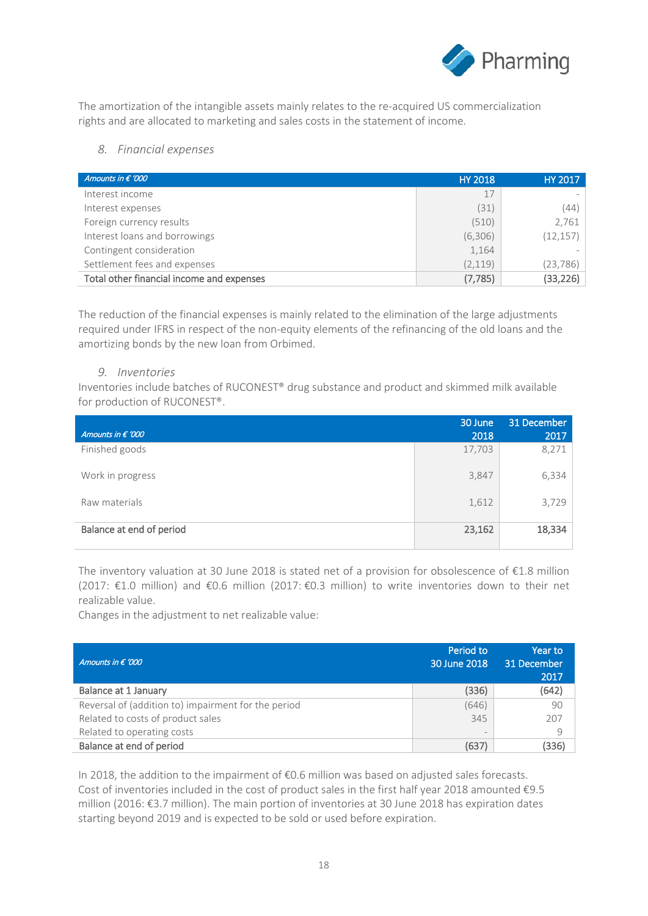

The amortization of the intangible assets mainly relates to the re-acquired US commercialization rights and are allocated to marketing and sales costs in the statement of income.

### *8. Financial expenses*

| Amounts in $\epsilon$ '000                | <b>HY 2018</b> | HY 2017   |
|-------------------------------------------|----------------|-----------|
| Interest income                           | 17             |           |
| Interest expenses                         | (31)           | (44)      |
| Foreign currency results                  | (510)          | 2,761     |
| Interest loans and borrowings             | (6,306)        | (12, 157) |
| Contingent consideration                  | 1,164          |           |
| Settlement fees and expenses              | (2, 119)       | (23,786)  |
| Total other financial income and expenses | (7, 785)       | (33,226)  |

The reduction of the financial expenses is mainly related to the elimination of the large adjustments required under IFRS in respect of the non-equity elements of the refinancing of the old loans and the amortizing bonds by the new loan from Orbimed.

### *9. Inventories*

Inventories include batches of RUCONEST® drug substance and product and skimmed milk available for production of RUCONEST®.

| Amounts in $\epsilon$ '000 | 30 June<br>2018 | 31 December<br>2017 |
|----------------------------|-----------------|---------------------|
| Finished goods             | 17,703          | 8,271               |
| Work in progress           | 3,847           | 6,334               |
| Raw materials              | 1,612           | 3,729               |
| Balance at end of period   | 23,162          | 18,334              |

The inventory valuation at 30 June 2018 is stated net of a provision for obsolescence of  $\epsilon$ 1.8 million (2017: €1.0 million) and €0.6 million (2017: €0.3 million) to write inventories down to their net realizable value.

Changes in the adjustment to net realizable value:

| Amounts in $\epsilon$ '000                          | Period to<br>30 June 2018 | Year to<br>31 December<br>2017 |
|-----------------------------------------------------|---------------------------|--------------------------------|
| Balance at 1 January                                | (336)                     | (642)                          |
| Reversal of (addition to) impairment for the period | (646)                     | 90                             |
| Related to costs of product sales                   | 345                       | 207                            |
| Related to operating costs                          | $\overline{\phantom{a}}$  | 9                              |
| Balance at end of period                            | (637)                     | (336)                          |

In 2018, the addition to the impairment of €0.6 million was based on adjusted sales forecasts. Cost of inventories included in the cost of product sales in the first half year 2018 amounted €9.5 million (2016: €3.7 million). The main portion of inventories at 30 June 2018 has expiration dates starting beyond 2019 and is expected to be sold or used before expiration.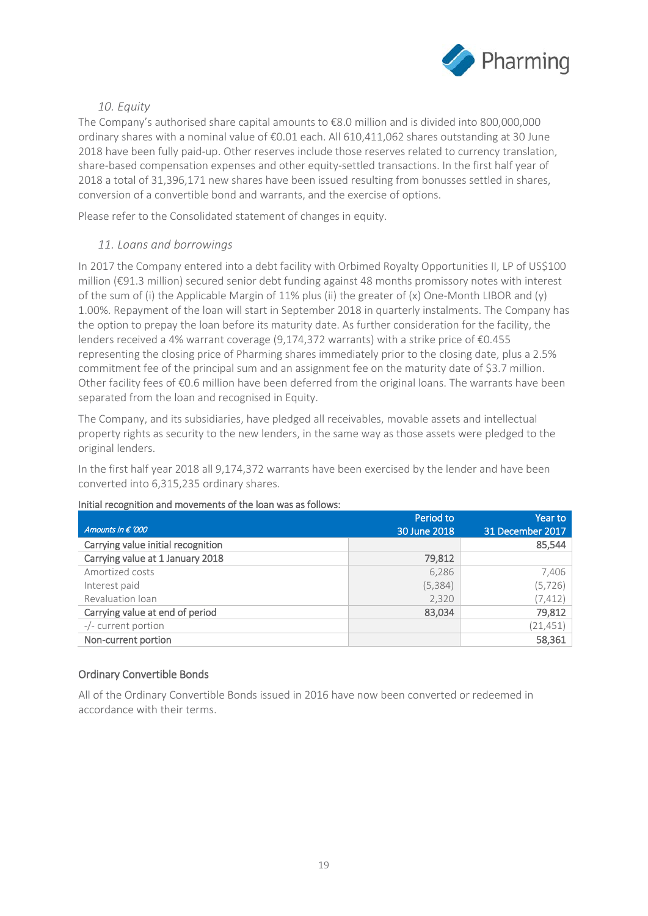

## *10. Equity*

The Company's authorised share capital amounts to €8.0 million and is divided into 800,000,000 ordinary shares with a nominal value of €0.01 each. All 610,411,062 shares outstanding at 30 June 2018 have been fully paid-up. Other reserves include those reserves related to currency translation, share-based compensation expenses and other equity-settled transactions. In the first half year of 2018 a total of 31,396,171 new shares have been issued resulting from bonusses settled in shares, conversion of a convertible bond and warrants, and the exercise of options.

Please refer to the Consolidated statement of changes in equity.

### *11. Loans and borrowings*

In 2017 the Company entered into a debt facility with Orbimed Royalty Opportunities II, LP of US\$100 million (€91.3 million) secured senior debt funding against 48 months promissory notes with interest of the sum of (i) the Applicable Margin of 11% plus (ii) the greater of (x) One-Month LIBOR and (y) 1.00%. Repayment of the loan will start in September 2018 in quarterly instalments. The Company has the option to prepay the loan before its maturity date. As further consideration for the facility, the lenders received a 4% warrant coverage (9,174,372 warrants) with a strike price of €0.455 representing the closing price of Pharming shares immediately prior to the closing date, plus a 2.5% commitment fee of the principal sum and an assignment fee on the maturity date of \$3.7 million. Other facility fees of €0.6 million have been deferred from the original loans. The warrants have been separated from the loan and recognised in Equity.

The Company, and its subsidiaries, have pledged all receivables, movable assets and intellectual property rights as security to the new lenders, in the same way as those assets were pledged to the original lenders.

In the first half year 2018 all 9,174,372 warrants have been exercised by the lender and have been converted into 6,315,235 ordinary shares.

|                                    | Period to    | Year to          |
|------------------------------------|--------------|------------------|
| Amounts in $\epsilon$ '000         | 30 June 2018 | 31 December 2017 |
| Carrying value initial recognition |              | 85,544           |
| Carrying value at 1 January 2018   | 79,812       |                  |
| Amortized costs                    | 6,286        | 7,406            |
| Interest paid                      | (5, 384)     | (5, 726)         |
| Revaluation loan                   | 2,320        | (7, 412)         |
| Carrying value at end of period    | 83,034       | 79,812           |
| -/- current portion                |              | (21, 451)        |
| Non-current portion                |              | 58,361           |

### Initial recognition and movements of the loan was as follows:

### Ordinary Convertible Bonds

All of the Ordinary Convertible Bonds issued in 2016 have now been converted or redeemed in accordance with their terms.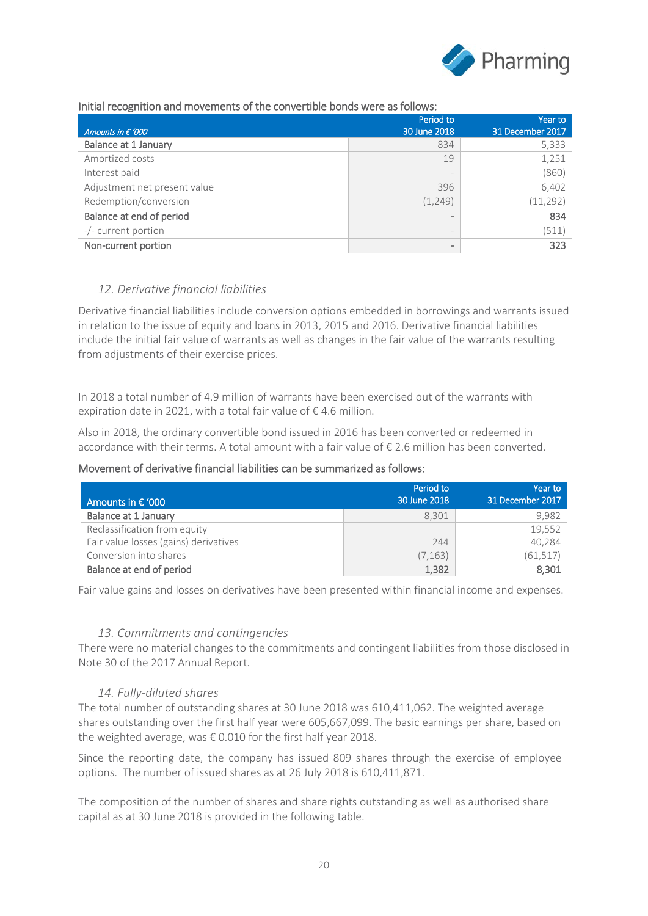

### Initial recognition and movements of the convertible bonds were as follows:

| Amounts in $\epsilon$ '000   | Period to<br>30 June 2018    | Year to<br>31 December 2017 |
|------------------------------|------------------------------|-----------------------------|
| Balance at 1 January         | 834                          | 5,333                       |
| Amortized costs              | 19                           | 1,251                       |
| Interest paid                | $\overline{\phantom{a}}$     | (860)                       |
| Adjustment net present value | 396                          | 6,402                       |
| Redemption/conversion        | (1, 249)                     | (11, 292)                   |
| Balance at end of period     | $\qquad \qquad \blacksquare$ | 834                         |
| -/- current portion          | $\qquad \qquad -$            | (511)                       |
| Non-current portion          | $\qquad \qquad \blacksquare$ | 323                         |

## *12. Derivative financial liabilities*

Derivative financial liabilities include conversion options embedded in borrowings and warrants issued in relation to the issue of equity and loans in 2013, 2015 and 2016. Derivative financial liabilities include the initial fair value of warrants as well as changes in the fair value of the warrants resulting from adjustments of their exercise prices.

In 2018 a total number of 4.9 million of warrants have been exercised out of the warrants with expiration date in 2021, with a total fair value of  $\epsilon$  4.6 million.

Also in 2018, the ordinary convertible bond issued in 2016 has been converted or redeemed in accordance with their terms. A total amount with a fair value of € 2.6 million has been converted.

### Movement of derivative financial liabilities can be summarized as follows:

| Amounts in $\epsilon$ '000            | Period to<br>30 June 2018 | Year to<br>31 December 2017 |
|---------------------------------------|---------------------------|-----------------------------|
| <b>Balance at 1 January</b>           | 8.301                     | 9.982                       |
| Reclassification from equity          |                           | 19,552                      |
| Fair value losses (gains) derivatives | 244                       | 40,284                      |
| Conversion into shares                | (7, 163)                  | (61, 517)                   |
| Balance at end of period              | 1,382                     | 8,301                       |

Fair value gains and losses on derivatives have been presented within financial income and expenses.

### *13. Commitments and contingencies*

There were no material changes to the commitments and contingent liabilities from those disclosed in Note 30 of the 2017 Annual Report.

### *14. Fully-diluted shares*

The total number of outstanding shares at 30 June 2018 was 610,411,062. The weighted average shares outstanding over the first half year were 605,667,099. The basic earnings per share, based on the weighted average, was  $\epsilon$  0.010 for the first half year 2018.

Since the reporting date, the company has issued 809 shares through the exercise of employee options. The number of issued shares as at 26 July 2018 is 610,411,871.

The composition of the number of shares and share rights outstanding as well as authorised share capital as at 30 June 2018 is provided in the following table.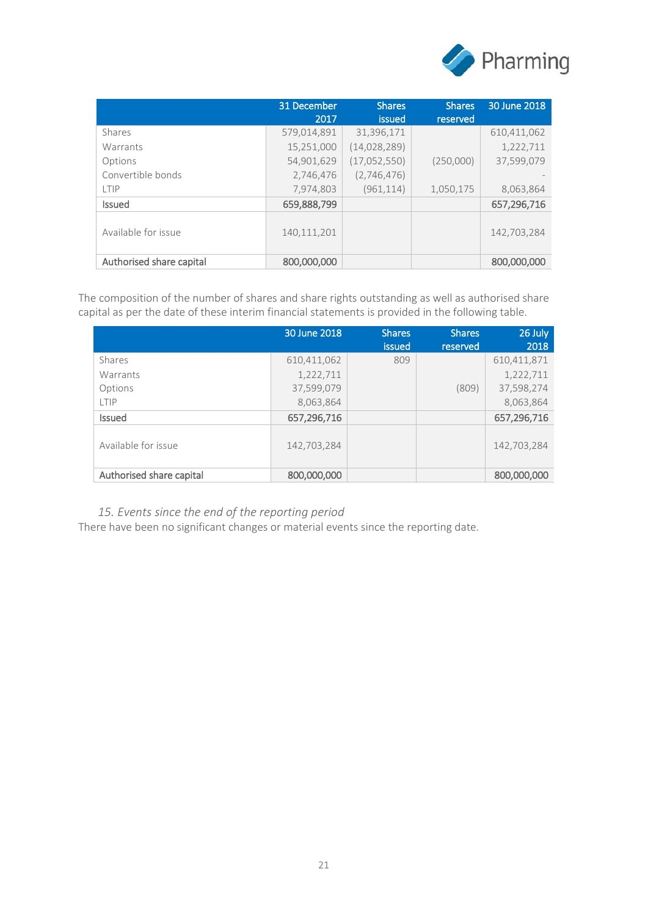

|                          | 31 December<br>2017 | <b>Shares</b><br>issued | <b>Shares</b><br>reserved | 30 June 2018 |
|--------------------------|---------------------|-------------------------|---------------------------|--------------|
| <b>Shares</b>            | 579,014,891         | 31,396,171              |                           | 610,411,062  |
| Warrants                 | 15,251,000          | (14, 028, 289)          |                           | 1,222,711    |
| Options                  | 54,901,629          | (17,052,550)            | (250,000)                 | 37,599,079   |
| Convertible bonds        | 2,746,476           | (2,746,476)             |                           |              |
| LTIP                     | 7,974,803           | (961, 114)              | 1,050,175                 | 8,063,864    |
| <b>Issued</b>            | 659,888,799         |                         |                           | 657,296,716  |
| Available for issue      | 140,111,201         |                         |                           | 142,703,284  |
| Authorised share capital | 800,000,000         |                         |                           | 800,000,000  |

The composition of the number of shares and share rights outstanding as well as authorised share capital as per the date of these interim financial statements is provided in the following table.

|                          | 30 June 2018 | <b>Shares</b><br>issued | <b>Shares</b><br>reserved | 26 July<br>2018 |
|--------------------------|--------------|-------------------------|---------------------------|-----------------|
| Shares                   | 610,411,062  | 809                     |                           | 610,411,871     |
| Warrants                 | 1,222,711    |                         |                           | 1,222,711       |
| Options                  | 37,599,079   |                         | (809)                     | 37,598,274      |
| LTIP                     | 8,063,864    |                         |                           | 8,063,864       |
| <b>Issued</b>            | 657,296,716  |                         |                           | 657,296,716     |
| Available for issue      | 142,703,284  |                         |                           | 142,703,284     |
| Authorised share capital | 800,000,000  |                         |                           | 800,000,000     |

*15. Events since the end of the reporting period*

There have been no significant changes or material events since the reporting date.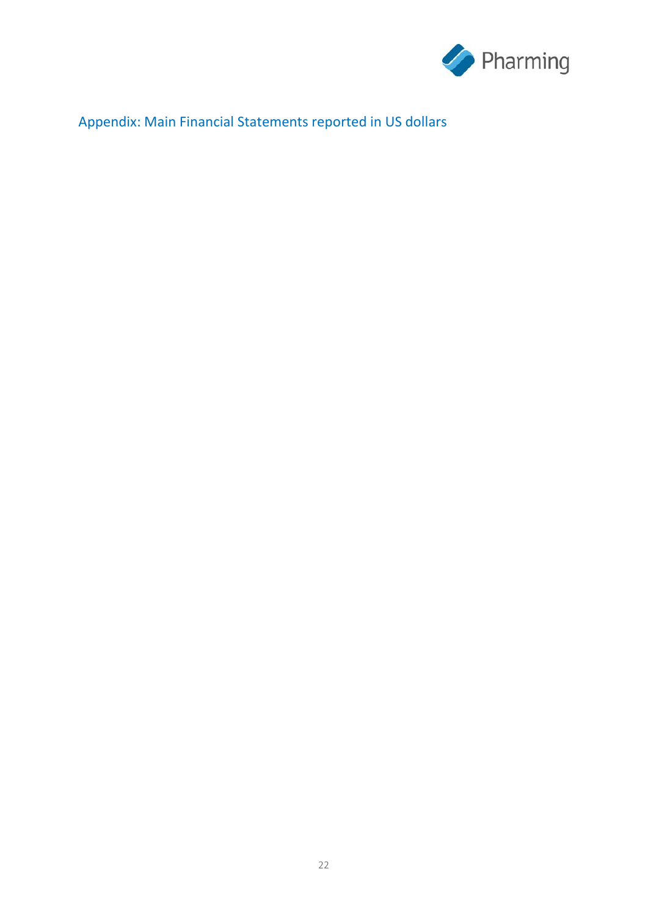

# Appendix: Main Financial Statements reported in US dollars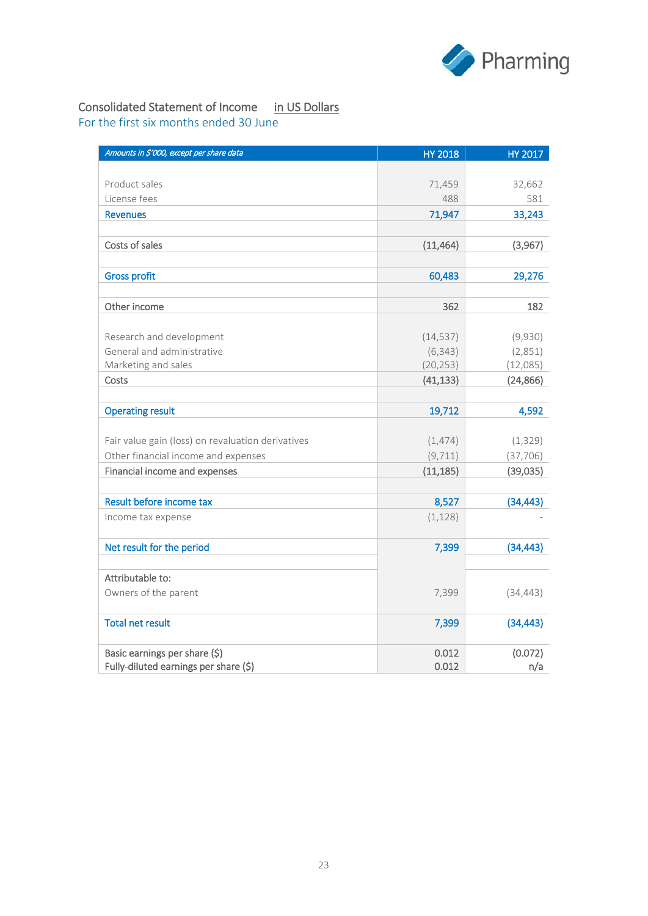

## Consolidated Statement of Income in US Dollars

For the first six months ended 30 June

| Amounts in \$'000, except per share data          | <b>HY 2018</b> | HY 2017   |
|---------------------------------------------------|----------------|-----------|
|                                                   |                |           |
| Product sales                                     | 71,459         | 32,662    |
| License fees                                      | 488            | 581       |
| <b>Revenues</b>                                   | 71,947         | 33,243    |
|                                                   |                |           |
| Costs of sales                                    | (11, 464)      | (3,967)   |
|                                                   |                |           |
| <b>Gross profit</b>                               | 60,483         | 29,276    |
|                                                   |                |           |
| Other income                                      | 362            | 182       |
|                                                   |                |           |
| Research and development                          | (14, 537)      | (9,930)   |
| General and administrative                        | (6, 343)       | (2,851)   |
| Marketing and sales                               | (20, 253)      | (12,085)  |
| Costs                                             | (41, 133)      | (24, 866) |
| <b>Operating result</b>                           | 19,712         | 4,592     |
|                                                   |                |           |
| Fair value gain (loss) on revaluation derivatives | (1,474)        | (1, 329)  |
| Other financial income and expenses               | (9, 711)       | (37, 706) |
| Financial income and expenses                     | (11, 185)      | (39,035)  |
| Result before income tax                          | 8,527          | (34, 443) |
| Income tax expense                                | (1, 128)       |           |
| Net result for the period                         | 7,399          | (34, 443) |
|                                                   |                |           |
| Attributable to:                                  |                |           |
| Owners of the parent                              | 7,399          | (34, 443) |
| <b>Total net result</b>                           | 7,399          | (34, 443) |
| Basic earnings per share (\$)                     | 0.012          | (0.072)   |
| Fully-diluted earnings per share (\$)             | 0.012          | n/a       |